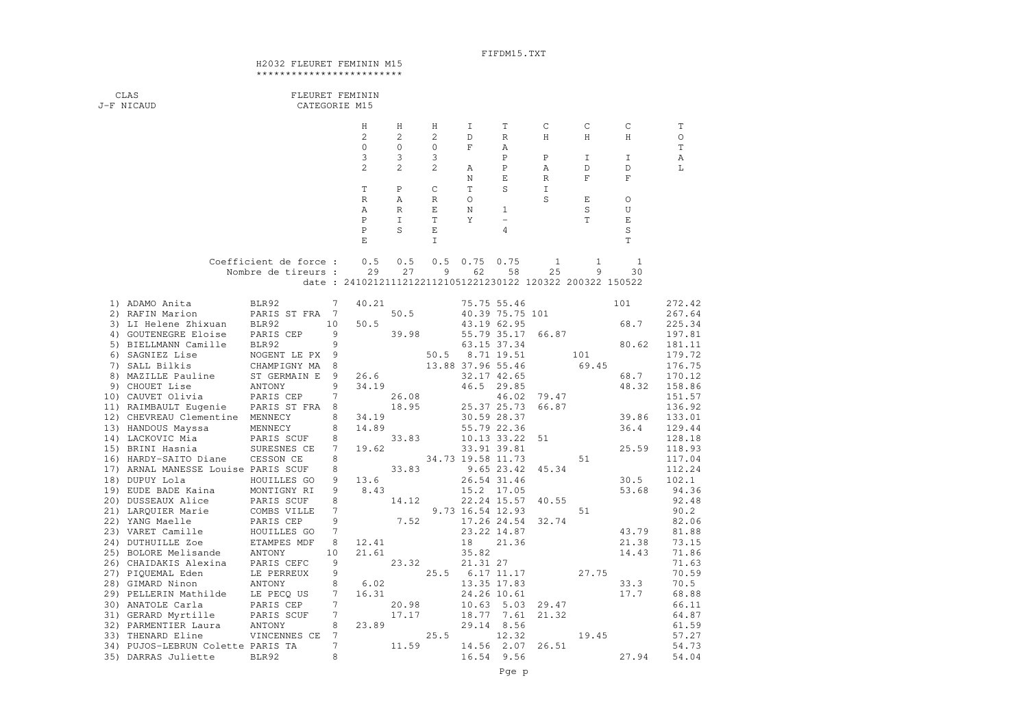## FIFDM15.TXT

## H2032 FLEURET FEMININ M15\*\*\*\*\*\*\*\*\*\*\*\*\*\*\*\*\*\*\*\*\*\*\*

| CLAS<br>J-F NICAUD                                       |                        |        | FLEURET FEMININ<br>CATEGORIE M15 |                |                  |                   |                            |                  |                                                           |                  |                  |
|----------------------------------------------------------|------------------------|--------|----------------------------------|----------------|------------------|-------------------|----------------------------|------------------|-----------------------------------------------------------|------------------|------------------|
|                                                          |                        |        |                                  |                |                  |                   |                            |                  |                                                           |                  |                  |
|                                                          |                        |        | Η                                | Η              | Η                | I                 | T                          | C                | C                                                         | C                | T                |
|                                                          |                        |        | $\overline{2}$                   | 2              | 2                | D                 | R                          | Η                | Η                                                         | Η                | $\circ$          |
|                                                          |                        |        | $\circ$                          | 0              | 0                | F                 | Α                          |                  |                                                           |                  | T                |
|                                                          |                        |        | 3                                | 3              | 3                |                   | $\, {\bf P}$               | $\, {\bf P}$     | Ι                                                         | I                | Α                |
|                                                          |                        |        | $\overline{c}$                   | $\overline{c}$ | 2                | Α<br>$\mathbb N$  | $\, {\bf P}$<br>Ε          | Α<br>$\mathbb R$ | D<br>$\mathbf F$                                          | D<br>$\mathbf F$ | L                |
|                                                          |                        |        | $\mathbb T$                      | $\, {\bf P}$   | C                | T                 | S                          | I                |                                                           |                  |                  |
|                                                          |                        |        | $\mathbb R$                      | Α              | $\, {\mathbb R}$ | O                 |                            | S                | Е                                                         | O                |                  |
|                                                          |                        |        | Α                                | $\mathbb R$    | Е                | Ν                 | 1                          |                  | S                                                         | U                |                  |
|                                                          |                        |        | $\mathbf P$                      | $\mathbf I$    | T                | Y                 | $\qquad \qquad -$          |                  | $\mathbf T$                                               | $\mathbf E$      |                  |
|                                                          |                        |        | $\, {\bf P}$                     | S              | E                |                   | 4                          |                  |                                                           | $\rm S$          |                  |
|                                                          |                        |        | $\mathbf E$                      |                | I                |                   |                            |                  |                                                           | $\mathbb T$      |                  |
|                                                          |                        |        |                                  |                |                  |                   |                            |                  |                                                           |                  |                  |
|                                                          | Coefficient de force : |        | 0.5                              | 0.5            | 0.5              | 0.75              | 0.75                       | 1                | 1                                                         | 1                |                  |
|                                                          | Nombre de tireurs :    |        | 29                               | 27             | 9                | 62                | 58                         | 25               | 9                                                         | 30               |                  |
|                                                          |                        |        |                                  |                |                  |                   |                            |                  | date: 241021211121221121051221230122 120322 200322 150522 |                  |                  |
| 1) ADAMO Anita                                           | BLR92                  | 7      | 40.21                            |                |                  |                   | 75.75 55.46                |                  |                                                           | 101              | 272.42           |
| 2) RAFIN Marion                                          | PARIS ST FRA 7         |        |                                  | 50.5           |                  |                   | 40.39 75.75 101            |                  |                                                           |                  | 267.64           |
| 3) LI Helene Zhixuan                                     | BLR92                  | 10     | 50.5                             |                |                  |                   | 43.19 62.95                |                  |                                                           | 68.7             | 225.34           |
| 4) GOUTENEGRE Eloise                                     | PARIS CEP              | 9      |                                  | 39.98          |                  | 55.79 35.17       |                            | 66.87            |                                                           |                  | 197.81           |
| 5) BIELLMANN Camille                                     | BLR92                  | 9      |                                  |                |                  |                   | 63.15 37.34                |                  |                                                           | 80.62            | 181.11           |
| 6) SAGNIEZ Lise                                          | NOGENT LE PX           | 9      |                                  |                | 50.5             |                   | 8.71 19.51                 |                  | 101                                                       |                  | 179.72           |
| 7) SALL Bilkis                                           | CHAMPIGNY MA           | 8      |                                  |                |                  | 13.88 37.96 55.46 |                            |                  | 69.45                                                     |                  | 176.75           |
| 8) MAZILLE Pauline                                       | ST GERMAIN E           | 9      | 26.6                             |                |                  |                   | 32.17 42.65                |                  |                                                           | 68.7             | 170.12           |
| 9) CHOUET Lise                                           | ANTONY                 | 9      | 34.19                            |                |                  |                   | 46.5 29.85                 |                  |                                                           | 48.32            | 158.86           |
| 10) CAUVET Olivia                                        | PARIS CEP              | 7      |                                  | 26.08          |                  |                   | 46.02                      | 79.47            |                                                           |                  | 151.57           |
| 11) RAIMBAULT Eugenie<br>12) CHEVREAU Clementine MENNECY | PARIS ST FRA           | 8<br>8 | 34.19                            | 18.95          |                  |                   | 25.37 25.73<br>30.59 28.37 | 66.87            |                                                           | 39.86            | 136.92<br>133.01 |
| 13) HANDOUS Mayssa                                       | MENNECY                | 8      | 14.89                            |                |                  |                   | 55.79 22.36                |                  |                                                           | 36.4             | 129.44           |
| 14) LACKOVIC Mia                                         | PARIS SCUF             | 8      |                                  | 33.83          |                  | 10.13 33.22       |                            | 51               |                                                           |                  | 128.18           |
| 15) BRINI Hasnia                                         | SURESNES CE            | 7      | 19.62                            |                |                  |                   | 33.91 39.81                |                  |                                                           | 25.59            | 118.93           |
| 16) HARDY-SAITO Diane                                    | CESSON CE              | 8      |                                  |                |                  | 34.73 19.58 11.73 |                            |                  | 51                                                        |                  | 117.04           |
| 17) ARNAL MANESSE Louise PARIS SCUF                      |                        | 8      |                                  | 33.83          |                  |                   | 9.65 23.42                 | 45.34            |                                                           |                  | 112.24           |
| 18) DUPUY Lola                                           | HOUILLES GO            | 9      | 13.6                             |                |                  |                   | 26.54 31.46                |                  |                                                           | 30.5             | 102.1            |
| 19) EUDE BADE Kaina                                      | MONTIGNY RI            | 9      | 8.43                             |                |                  | 15.2              | 17.05                      |                  |                                                           | 53.68            | 94.36            |
| 20) DUSSEAUX Alice                                       | PARIS SCUF             | 8      |                                  | 14.12          |                  |                   | 22.24 15.57                | 40.55            |                                                           |                  | 92.48            |
| 21) LARQUIER Marie                                       | COMBS VILLE            | 7      |                                  |                |                  | 9.73 16.54 12.93  |                            |                  | 51                                                        |                  | 90.2             |
| 22) YANG Maelle                                          | PARIS CEP              | 9      |                                  | 7.52           |                  |                   | 17.26 24.54                | 32.74            |                                                           |                  | 82.06            |
| 23) VARET Camille                                        | HOUILLES GO            | 7      |                                  |                |                  |                   | 23.22 14.87                |                  |                                                           | 43.79            | 81.88            |
| 24) DUTHUILLE Zoe                                        | ETAMPES MDF            | 8      | 12.41                            |                |                  | 18                | 21.36                      |                  |                                                           | 21.38            | 73.15            |
| 25) BOLORE Melisande                                     | ANTONY                 | 10     | 21.61                            |                |                  | 35.82             |                            |                  |                                                           | 14.43            | 71.86            |
| 26) CHAIDAKIS Alexina                                    | PARIS CEFC             | 9<br>9 |                                  | 23.32          | 25.5             | 21.31 27          | 6.17 11.17                 |                  | 27.75                                                     |                  | 71.63<br>70.59   |
| 27) PIQUEMAL Eden<br>28) GIMARD Ninon                    | LE PERREUX<br>ANTONY   | 8      | 6.02                             |                |                  |                   | 13.35 17.83                |                  |                                                           | 33.3             | 70.5             |
| 29) PELLERIN Mathilde                                    | LE PECQ US             | 7      | 16.31                            |                |                  |                   | 24.26 10.61                |                  |                                                           | 17.7             | 68.88            |
| 30) ANATOLE Carla                                        | PARIS CEP              | 7      |                                  | 20.98          |                  | 10.63             | 5.03                       | 29.47            |                                                           |                  | 66.11            |
| 31) GERARD Myrtille                                      | PARIS SCUF             | 7      |                                  | 17.17          |                  | 18.77             | 7.61                       | 21.32            |                                                           |                  | 64.87            |
| 32) PARMENTIER Laura                                     | ANTONY                 | 8      | 23.89                            |                |                  | 29.14             | 8.56                       |                  |                                                           |                  | 61.59            |
| 33) THENARD Eline                                        | VINCENNES CE           | 7      |                                  |                | 25.5             |                   | 12.32                      |                  | 19.45                                                     |                  | 57.27            |
| 34) PUJOS-LEBRUN Colette PARIS TA                        |                        | 7      |                                  | 11.59          |                  | 14.56             | 2.07                       | 26.51            |                                                           |                  | 54.73            |
| 35) DARRAS Juliette                                      | BLR92                  | 8      |                                  |                |                  | 16.54             | 9.56                       |                  |                                                           | 27.94            | 54.04            |